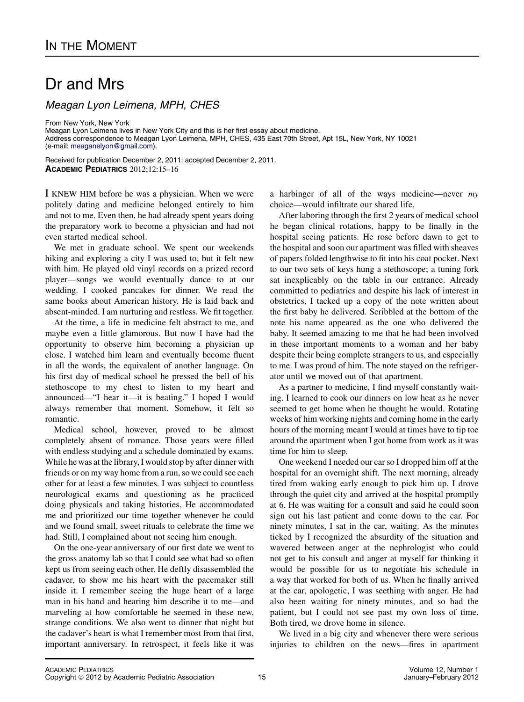## Dr and Mrs

 $M_{\rm g}$ an Lyon Leimena, MPH, CHES

From New York, New York

Meagan Lyon Leimena lives in New York City and this is her first essay about medicine. Address correspondence to Meagan Lyon Leimena, MPH, CHES, 435 East 70th Street, Apt 15L, New York, NY 10021 (e-mail: [meaganelyon@gmail.com\)](mailto:meaganelyon@gmail.com).

Received for publication December 2, 2011; accepted December 2, 2011. ACADEMIC PEDIATRICS 2012;12:15–16

I KNEW HIM before he was a physician. When we were politely dating and medicine belonged entirely to him and not to me. Even then, he had already spent years doing the preparatory work to become a physician and had not even started medical school.

We met in graduate school. We spent our weekends hiking and exploring a city I was used to, but it felt new with him. He played old vinyl records on a prized record player—songs we would eventually dance to at our wedding. I cooked pancakes for dinner. We read the same books about American history. He is laid back and absent-minded. I am nurturing and restless. We fit together.

At the time, a life in medicine felt abstract to me, and maybe even a little glamorous. But now I have had the opportunity to observe him becoming a physician up close. I watched him learn and eventually become fluent in all the words, the equivalent of another language. On his first day of medical school he pressed the bell of his stethoscope to my chest to listen to my heart and announced—"I hear it—it is beating." I hoped I would always remember that moment. Somehow, it felt so romantic.

Medical school, however, proved to be almost completely absent of romance. Those years were filled with endless studying and a schedule dominated by exams. While he was at the library, I would stop by after dinner with friends or on my way home from a run, so we could see each other for at least a few minutes. I was subject to countless neurological exams and questioning as he practiced doing physicals and taking histories. He accommodated me and prioritized our time together whenever he could and we found small, sweet rituals to celebrate the time we had. Still, I complained about not seeing him enough.

On the one-year anniversary of our first date we went to the gross anatomy lab so that I could see what had so often kept us from seeing each other. He deftly disassembled the cadaver, to show me his heart with the pacemaker still inside it. I remember seeing the huge heart of a large man in his hand and hearing him describe it to me—and marveling at how comfortable he seemed in these new, strange conditions. We also went to dinner that night but the cadaver's heart is what I remember most from that first, important anniversary. In retrospect, it feels like it was

a harbinger of all of the ways medicine—never  $my$ choice—would infiltrate our shared life.

After laboring through the first 2 years of medical school he began clinical rotations, happy to be finally in the hospital seeing patients. He rose before dawn to get to the hospital and soon our apartment was filled with sheaves of papers folded lengthwise to fit into his coat pocket. Next to our two sets of keys hung a stethoscope; a tuning fork sat inexplicably on the table in our entrance. Already committed to pediatrics and despite his lack of interest in obstetrics, I tacked up a copy of the note written about the first baby he delivered. Scribbled at the bottom of the note his name appeared as the one who delivered the baby. It seemed amazing to me that he had been involved in these important moments to a woman and her baby despite their being complete strangers to us, and especially to me. I was proud of him. The note stayed on the refrigerator until we moved out of that apartment.

As a partner to medicine, I find myself constantly waiting. I learned to cook our dinners on low heat as he never seemed to get home when he thought he would. Rotating weeks of him working nights and coming home in the early hours of the morning meant I would at times have to tip toe around the apartment when I got home from work as it was time for him to sleep.

One weekend I needed our car so I dropped him off at the hospital for an overnight shift. The next morning, already tired from waking early enough to pick him up, I drove through the quiet city and arrived at the hospital promptly at 6. He was waiting for a consult and said he could soon sign out his last patient and come down to the car. For ninety minutes, I sat in the car, waiting. As the minutes ticked by I recognized the absurdity of the situation and wavered between anger at the nephrologist who could not get to his consult and anger at myself for thinking it would be possible for us to negotiate his schedule in a way that worked for both of us. When he finally arrived at the car, apologetic, I was seething with anger. He had also been waiting for ninety minutes, and so had the patient, but I could not see past my own loss of time. Both tired, we drove home in silence.

We lived in a big city and whenever there were serious injuries to children on the news—fires in apartment